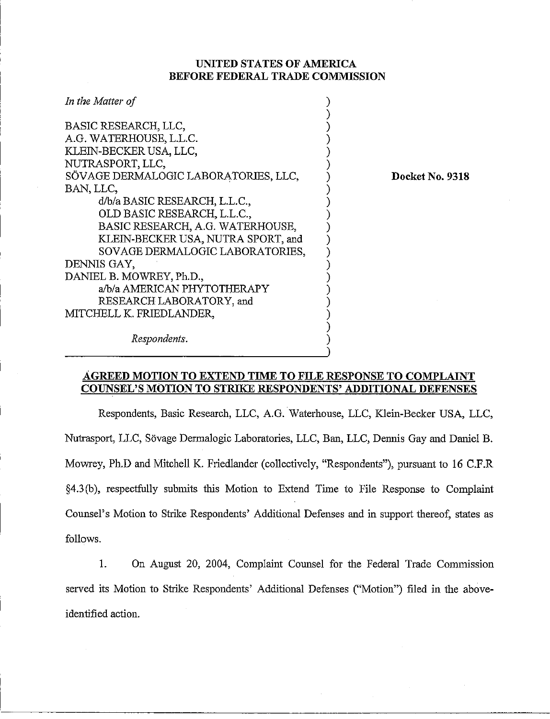## **UNITED STATES OF AMERICA BEFORE FEDERAL TRADE COMMISSION**

| In the Matter of                                     |  |
|------------------------------------------------------|--|
| BASIC RESEARCH, LLC,                                 |  |
| A.G. WATERHOUSE, L.L.C.                              |  |
| KLEIN-BECKER USA, LLC,                               |  |
| NUTRASPORT, LLC,                                     |  |
| SÖVAGE DERMALOGIC LABORATORIES, LLC,                 |  |
| BAN, LLC,                                            |  |
| d/b/a BASIC RESEARCH, L.L.C.,                        |  |
| OLD BASIC RESEARCH, L.L.C.,                          |  |
| BASIC RESEARCH, A.G. WATERHOUSE,                     |  |
| KLEIN-BECKER USA, NUTRA SPORT, and                   |  |
| SOVAGE DERMALOGIC LABORATORIES,                      |  |
| DENNIS GAY,                                          |  |
| DANIEL B. MOWREY, Ph.D.,                             |  |
| a/b/a AMERICAN PHYTOTHERAPY                          |  |
| RESEARCH LABORATORY, and<br>MITCHELL K. FRIEDLANDER, |  |
|                                                      |  |
|                                                      |  |

**Docket No. 9318** 

*Respondents.* 

## AGREED MOTION TO EXTEND TIME TO FILE RESPONSE TO COMPLAINT **COUNSEL'S MOTION TO STRIKE RESPONDENTS' ADDITIONAL DEFENSES**

Respondents, Basic Research, LLC, A.G. Waterhouse, LLC, Klein-Becker USA, LLC, Nutrasport, LLC, Sovage Dermalogic Laboratories, LLC, Ban, LLC, Dennis Gay and Daniel B. Mowrey, Ph.D and Mitchell K. Friedlander (collectively, "Respondents"), pursuant to 16 C.F.R §4.3(b), respectfully submits this Motion to Extend Time to File Response to Complaint Counsel's Motion to Strike Respondents' Additional Defenses and in support thereof, states as follows.

1. On August 20, 2004, Complaint Counsel for the Federal Trade Commission served its Motion to Strike Respondents' Additional Defenses ("Motion") filed in the aboveidentified action.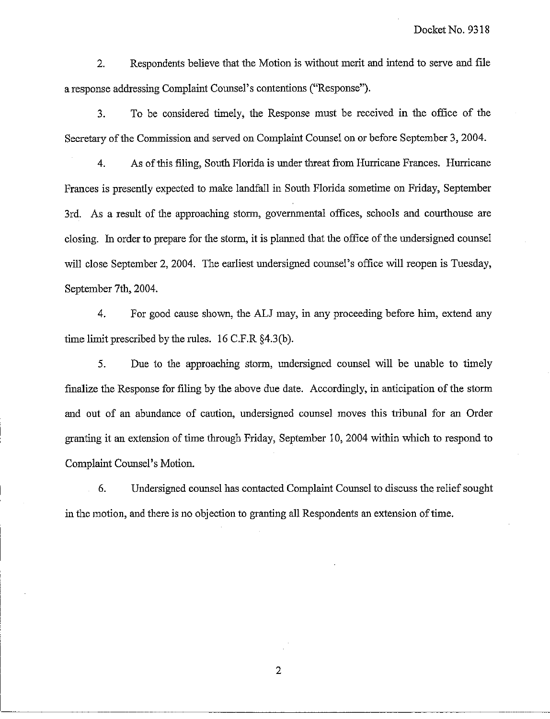2. Respondents believe that the Motion is without merit and intend to serve and file a response addressing Complaint Counsel's contentions ("Response").

3. To be considered timely, the Response must be received in the ofice of the Secretary of the Commission and served on Complaint Counsel on or before September 3, 2004.

4. As of this filing, South Florida is under threat from Hurricane Frances. Hurricane Frances is presently expected to make landfall in South Florida sometime on Friday, September 3rd. As a result of the approaching storm, governmental offices, schools and courthouse are closing. In order to prepare for the storm, it is planned that the office of the undersigned counsel will close September 2, 2004. The earliest undersigned counsel's office will reopen is Tuesday, September 7th, 2004.

4. For good cause shown, the ALJ may, in any proceeding before him, extend any time limit prescribed by the rules.  $16$  C.F.R  $64.3(b)$ .

5. Due to the approaching storm, undersigned counsel will be unable to timely finalize the Response for filing by the above due date. Accordingly, in anticipation of the storm and out of an abundance of caution, undersigned counsel moves this tribunal for an Order granting it an extension of time through Friday, September 10, 2004 within wluch to respond to Complaint Counsel's Motion.

6. Undersigned counsel has contacted Complaint Counsel to discuss the relief sought in the motion, and there is no objection to granting all Respondents an extension of time.

 $\overline{2}$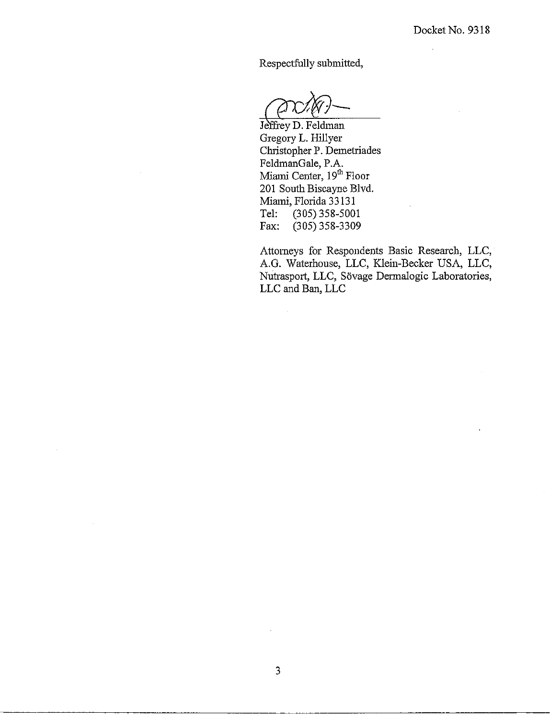$\mathcal{L}$ 

Respectfully submitted,

Jeffrey D. Feldman Gregory L. Hillyer Christopher P. Demetriades FeldmanGale, P.A. Miami Center, 19<sup>th</sup> Floor 201 South Biscayne Blvd. Miami, Florida 33131<br>Tel: (305) 358-500 Tel: (305) 358-5001<br>Fax: (305) 358-3309  $(305)$  358-3309

Attorneys for Respondents Basic Research, LLC, A.G. Waterhouse, LLC, Klein-Becker USA, LLC, Nutrasport, LLC, Sövage Dermalogic Laboratories, LLC and Ban, LLC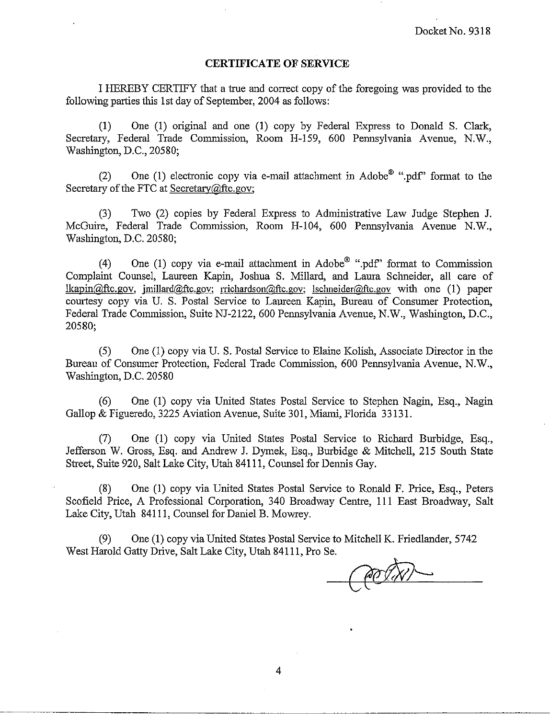## **CERTIFICATE OF SERVICE**

I HEREBY CERTIFY that a true and correct copy of the foregoing was provided to the following parties this 1st day of September, 2004 as follows:

(1) One (1) original and one (1) copy by Federal Express to Donald S. Clark, Secretary, Federal Trade Commission, Room H-159, 600 Pennsylvania Avenue, N.W., Washington, D.C., 20580;

(2) One (1) electronic copy via e-mail attachment in Adobe<sup> $\mathbb{D}$ </sup> ".pdf" format to the Secretary of the FTC at  $S$ ecretary $@$ ftc.gov;

(3) Two (2) copies by Federal Express to Administrative Law Judge Stephen J. McGuire, Federal Trade Commission, Room H-104, 600 Pennsylvania Avenue N.W., Washington, D.C. 20580;

(4) One (1) copy via e-mail attachment in Adobe<sup>®</sup> ".pdf" format to Commission Complaint Counsel, Laureen Kapin, Joshua S. Millard, and Laura Schneider, all care of lkapin $@$ ftc.gov, imillard $@$ ftc.gov; rrichardson $@$ ftc.gov; lschneider $@$ ftc.gov with one (1) paper courtesy copy via U. S. Postal Service to Lameen Kapin, Bureau of Consumer Protection, Federal Trade Commission, Suite NJ-2122, 600 Pennsylvania Avenue, N.W., Washington, D.C., 20580;

(5) One (1) copy via U. S. Postal Service to Elaine Kolish, Associate Director in the Bureau of Consumer Protection, Federal Trade Commission, 600 Pennsylvania Avenue, N.W., Washington, D.C. 20580

(6) One (1) copy via United States Postal Service to Stephen Nagin, Esq., Nagin Gallop & Figueredo, 3225 Aviation Avenue, Suite 301, Miami, Florida 33 131.

(7) One (1) copy via United States Postal Service to Richard Burbidge, Esq., Jefferson W. Gross, Esq. and Andrew J. Dymek, Esq., Burbidge & Mitchell, 215 South State Street, Suite 920, Salt Lake City, Utah 841 11, Counsel for Dennis Gay.

(8) One (1) copy via United States Postal Service to Ronald F. Price, Esq., Peters Scofield Price, A Professional Corporation, 340 Broadway Centre, 111 East Broadway, Salt Lake City, Utah 84111, Counsel for Daniel B. Mowrey.

(9) One (1) copy via United States Postal Service to Mitchell K. Friedlander, 5742 West Harold Gatty Drive, Salt Lake City, Utah 841 11, Pro Se.

 $\overline{4}$